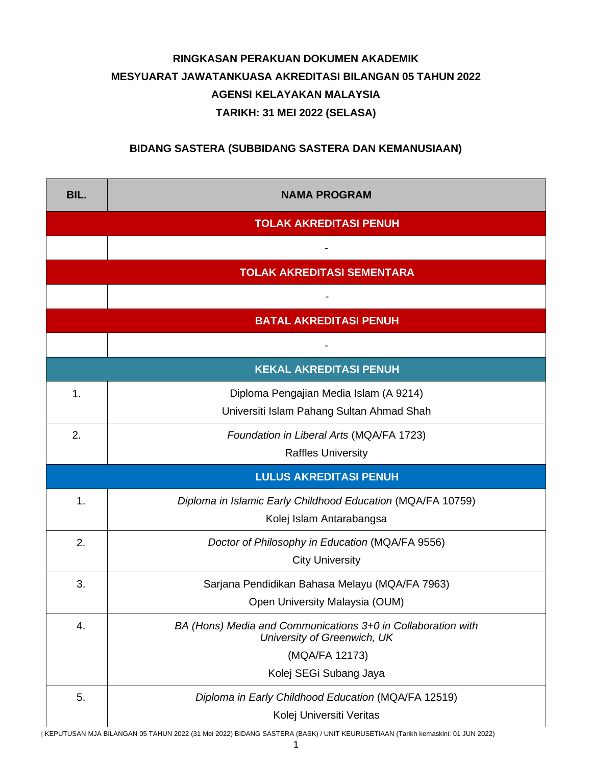## **RINGKASAN PERAKUAN DOKUMEN AKADEMIK MESYUARAT JAWATANKUASA AKREDITASI BILANGAN 05 TAHUN 2022 AGENSI KELAYAKAN MALAYSIA TARIKH: 31 MEI 2022 (SELASA)**

## **BIDANG SASTERA (SUBBIDANG SASTERA DAN KEMANUSIAAN)**

| BIL.                              | <b>NAMA PROGRAM</b>                                                                                                                     |  |  |  |  |
|-----------------------------------|-----------------------------------------------------------------------------------------------------------------------------------------|--|--|--|--|
| <b>TOLAK AKREDITASI PENUH</b>     |                                                                                                                                         |  |  |  |  |
|                                   |                                                                                                                                         |  |  |  |  |
| <b>TOLAK AKREDITASI SEMENTARA</b> |                                                                                                                                         |  |  |  |  |
|                                   |                                                                                                                                         |  |  |  |  |
| <b>BATAL AKREDITASI PENUH</b>     |                                                                                                                                         |  |  |  |  |
|                                   |                                                                                                                                         |  |  |  |  |
| <b>KEKAL AKREDITASI PENUH</b>     |                                                                                                                                         |  |  |  |  |
| 1.                                | Diploma Pengajian Media Islam (A 9214)<br>Universiti Islam Pahang Sultan Ahmad Shah                                                     |  |  |  |  |
| 2.                                | Foundation in Liberal Arts (MQA/FA 1723)<br><b>Raffles University</b>                                                                   |  |  |  |  |
| <b>LULUS AKREDITASI PENUH</b>     |                                                                                                                                         |  |  |  |  |
| 1.                                | Diploma in Islamic Early Childhood Education (MQA/FA 10759)<br>Kolej Islam Antarabangsa                                                 |  |  |  |  |
| 2.                                | Doctor of Philosophy in Education (MQA/FA 9556)<br><b>City University</b>                                                               |  |  |  |  |
| 3.                                | Sarjana Pendidikan Bahasa Melayu (MQA/FA 7963)<br>Open University Malaysia (OUM)                                                        |  |  |  |  |
| 4.                                | BA (Hons) Media and Communications 3+0 in Collaboration with<br>University of Greenwich, UK<br>(MQA/FA 12173)<br>Kolej SEGi Subang Jaya |  |  |  |  |
| 5.                                | Diploma in Early Childhood Education (MQA/FA 12519)<br>Kolej Universiti Veritas                                                         |  |  |  |  |

| KEPUTUSAN MJA BILANGAN 05 TAHUN 2022 (31 Mei 2022) BIDANG SASTERA (BASK) / UNIT KEURUSETIAAN (Tarikh kemaskini: 01 JUN 2022)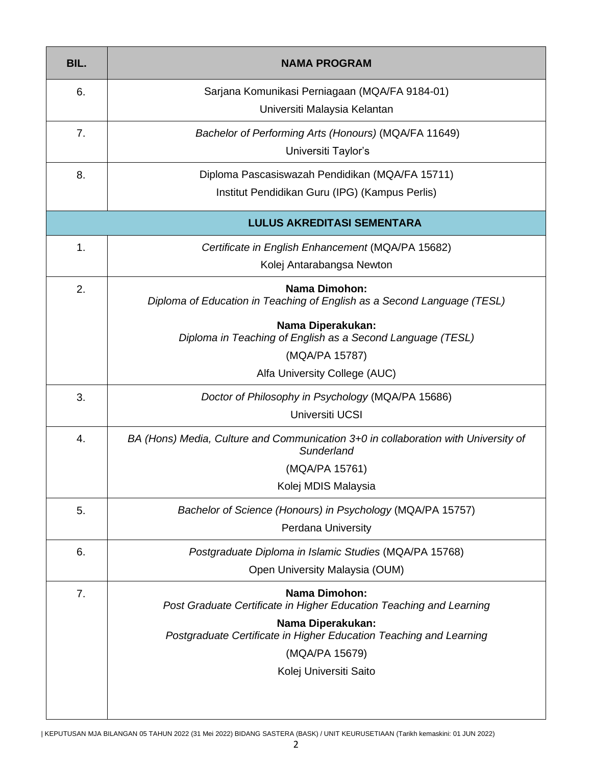| BIL.                              | <b>NAMA PROGRAM</b>                                                                              |  |  |  |  |
|-----------------------------------|--------------------------------------------------------------------------------------------------|--|--|--|--|
| 6.                                | Sarjana Komunikasi Perniagaan (MQA/FA 9184-01)                                                   |  |  |  |  |
|                                   | Universiti Malaysia Kelantan                                                                     |  |  |  |  |
| 7.                                | Bachelor of Performing Arts (Honours) (MQA/FA 11649)                                             |  |  |  |  |
|                                   | Universiti Taylor's                                                                              |  |  |  |  |
| 8.                                | Diploma Pascasiswazah Pendidikan (MQA/FA 15711)                                                  |  |  |  |  |
|                                   | Institut Pendidikan Guru (IPG) (Kampus Perlis)                                                   |  |  |  |  |
| <b>LULUS AKREDITASI SEMENTARA</b> |                                                                                                  |  |  |  |  |
| $\mathbf{1}$ .                    | Certificate in English Enhancement (MQA/PA 15682)                                                |  |  |  |  |
|                                   | Kolej Antarabangsa Newton                                                                        |  |  |  |  |
| 2.                                | <b>Nama Dimohon:</b><br>Diploma of Education in Teaching of English as a Second Language (TESL)  |  |  |  |  |
|                                   | Nama Diperakukan:<br>Diploma in Teaching of English as a Second Language (TESL)                  |  |  |  |  |
|                                   | (MQA/PA 15787)                                                                                   |  |  |  |  |
|                                   | Alfa University College (AUC)                                                                    |  |  |  |  |
| 3.                                | Doctor of Philosophy in Psychology (MQA/PA 15686)                                                |  |  |  |  |
|                                   | Universiti UCSI                                                                                  |  |  |  |  |
| 4.                                | BA (Hons) Media, Culture and Communication 3+0 in collaboration with University of<br>Sunderland |  |  |  |  |
|                                   | (MQA/PA 15761)                                                                                   |  |  |  |  |
|                                   | Kolej MDIS Malaysia                                                                              |  |  |  |  |
| 5.                                | Bachelor of Science (Honours) in Psychology (MQA/PA 15757)                                       |  |  |  |  |
|                                   | <b>Perdana University</b>                                                                        |  |  |  |  |
| 6.                                | Postgraduate Diploma in Islamic Studies (MQA/PA 15768)                                           |  |  |  |  |
|                                   | Open University Malaysia (OUM)                                                                   |  |  |  |  |
| 7.                                | <b>Nama Dimohon:</b><br>Post Graduate Certificate in Higher Education Teaching and Learning      |  |  |  |  |
|                                   | Nama Diperakukan:<br>Postgraduate Certificate in Higher Education Teaching and Learning          |  |  |  |  |
|                                   | (MQA/PA 15679)                                                                                   |  |  |  |  |
|                                   | Kolej Universiti Saito                                                                           |  |  |  |  |
|                                   |                                                                                                  |  |  |  |  |